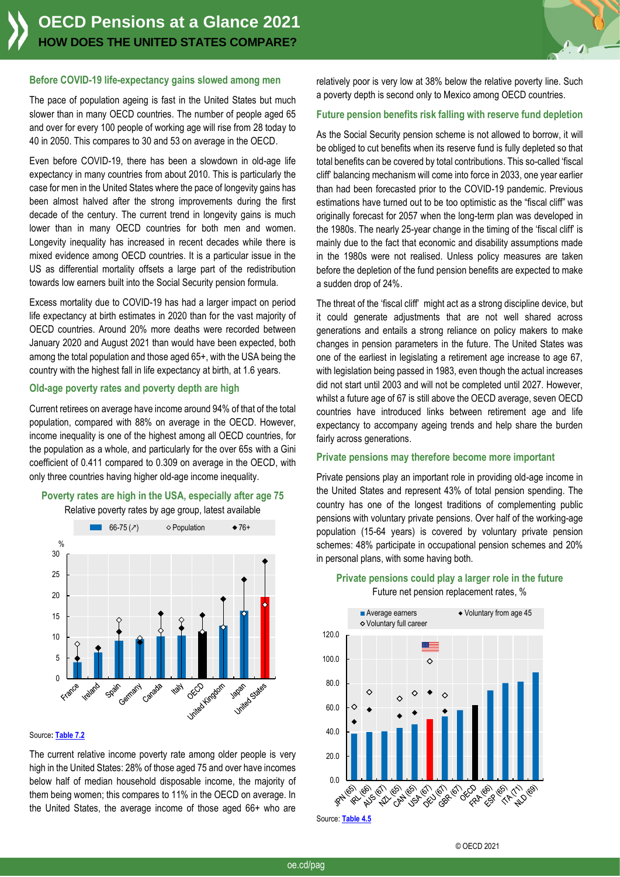

#### **Before COVID-19 life-expectancy gains slowed among men**

The pace of population ageing is fast in the United States but much slower than in many OECD countries. The number of people aged 65 and over for every 100 people of working age will rise from 28 today to 40 in 2050. This compares to 30 and 53 on average in the OECD.

Even before COVID-19, there has been a slowdown in old-age life expectancy in many countries from about 2010. This is particularly the case for men in the United States where the pace of longevity gains has been almost halved after the strong improvements during the first decade of the century. The current trend in longevity gains is much lower than in many OECD countries for both men and women. Longevity inequality has increased in recent decades while there is mixed evidence among OECD countries. It is a particular issue in the US as differential mortality offsets a large part of the redistribution towards low earners built into the Social Security pension formula.

Excess mortality due to COVID-19 has had a larger impact on period life expectancy at birth estimates in 2020 than for the vast majority of OECD countries. Around 20% more deaths were recorded between January 2020 and August 2021 than would have been expected, both among the total population and those aged 65+, with the USA being the country with the highest fall in life expectancy at birth, at 1.6 years.

## **Old-age poverty rates and poverty depth are high**

Current retirees on average have income around 94% of that of the total population, compared with 88% on average in the OECD. However, income inequality is one of the highest among all OECD countries, for the population as a whole, and particularly for the over 65s with a Gini coefficient of 0.411 compared to 0.309 on average in the OECD, with only three countries having higher old-age income inequality.





#### Source**[: Table 7.2](https://stat.link/4sgc2z)**

The current relative income poverty rate among older people is very high in the United States: 28% of those aged 75 and over have incomes below half of median household disposable income, the majority of them being women; this compares to 11% in the OECD on average. In the United States, the average income of those aged 66+ who are relatively poor is very low at 38% below the relative poverty line. Such a poverty depth is second only to Mexico among OECD countries.

# **Future pension benefits risk falling with reserve fund depletion**

As the Social Security pension scheme is not allowed to borrow, it will be obliged to cut benefits when its reserve fund is fully depleted so that total benefits can be covered by total contributions. This so-called 'fiscal cliff' balancing mechanism will come into force in 2033, one year earlier than had been forecasted prior to the COVID-19 pandemic. Previous estimations have turned out to be too optimistic as the "fiscal cliff" was originally forecast for 2057 when the long-term plan was developed in the 1980s. The nearly 25-year change in the timing of the 'fiscal cliff' is mainly due to the fact that economic and disability assumptions made in the 1980s were not realised. Unless policy measures are taken before the depletion of the fund pension benefits are expected to make a sudden drop of 24%.

The threat of the 'fiscal cliff' might act as a strong discipline device, but it could generate adjustments that are not well shared across generations and entails a strong reliance on policy makers to make changes in pension parameters in the future. The United States was one of the earliest in legislating a retirement age increase to age 67, with legislation being passed in 1983, even though the actual increases did not start until 2003 and will not be completed until 2027. However, whilst a future age of 67 is still above the OECD average, seven OECD countries have introduced links between retirement age and life expectancy to accompany ageing trends and help share the burden fairly across generations.

#### **Private pensions may therefore become more important**

Private pensions play an important role in providing old-age income in the United States and represent 43% of total pension spending. The country has one of the longest traditions of complementing public pensions with voluntary private pensions. Over half of the working-age population (15-64 years) is covered by voluntary private pension schemes: 48% participate in occupational pension schemes and 20% in personal plans, with some having both.



# **Private pensions could play a larger role in the future** Future net pension replacement rates, %

© OECD 2021